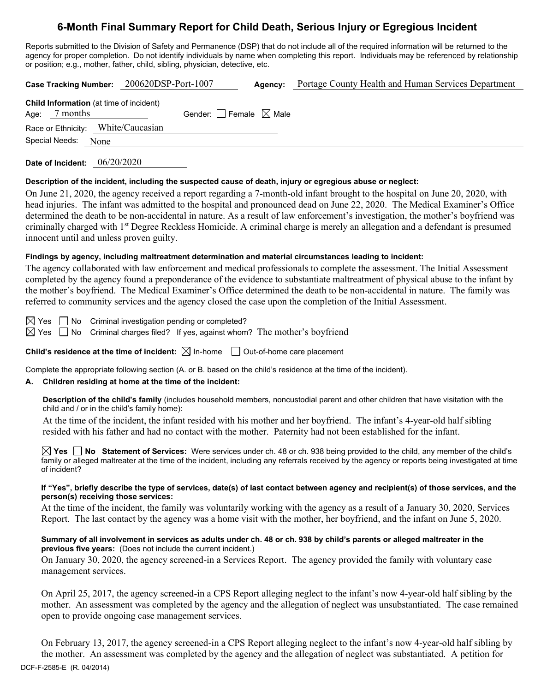# **6-Month Final Summary Report for Child Death, Serious Injury or Egregious Incident**

Reports submitted to the Division of Safety and Permanence (DSP) that do not include all of the required information will be returned to the agency for proper completion. Do not identify individuals by name when completing this report. Individuals may be referenced by relationship or position; e.g., mother, father, child, sibling, physician, detective, etc.

|                                                             | Case Tracking Number: 200620DSP-Port-1007 | Agency: | Portage County Health and Human Services Department |  |
|-------------------------------------------------------------|-------------------------------------------|---------|-----------------------------------------------------|--|
| Child Information (at time of incident)<br>7 months<br>Age: | Gender: $\Box$ Female $\boxtimes$ Male    |         |                                                     |  |
| Race or Ethnicity: White/Caucasian                          |                                           |         |                                                     |  |
| Special Needs:<br>None                                      |                                           |         |                                                     |  |
|                                                             |                                           |         |                                                     |  |

**Date of Incident:** 06/20/2020

## **Description of the incident, including the suspected cause of death, injury or egregious abuse or neglect:**

On June 21, 2020, the agency received a report regarding a 7-month-old infant brought to the hospital on June 20, 2020, with head injuries. The infant was admitted to the hospital and pronounced dead on June 22, 2020. The Medical Examiner's Office determined the death to be non-accidental in nature. As a result of law enforcement's investigation, the mother's boyfriend was criminally charged with 1st Degree Reckless Homicide. A criminal charge is merely an allegation and a defendant is presumed innocent until and unless proven guilty.

## **Findings by agency, including maltreatment determination and material circumstances leading to incident:**

The agency collaborated with law enforcement and medical professionals to complete the assessment. The Initial Assessment completed by the agency found a preponderance of the evidence to substantiate maltreatment of physical abuse to the infant by the mother's boyfriend. The Medical Examiner's Office determined the death to be non-accidental in nature. The family was referred to community services and the agency closed the case upon the completion of the Initial Assessment.

 $\boxtimes$  Yes  $\Box$  No Criminal investigation pending or completed?  $\boxtimes$  Yes  $\Box$  No Criminal charges filed? If yes, against whom? The mother's boyfriend

**Child's residence at the time of incident:**  $\boxtimes$  In-home  $\Box$  Out-of-home care placement

Complete the appropriate following section (A. or B. based on the child's residence at the time of the incident).

# **A. Children residing at home at the time of the incident:**

**Description of the child's family** (includes household members, noncustodial parent and other children that have visitation with the child and / or in the child's family home):

At the time of the incident, the infant resided with his mother and her boyfriend. The infant's 4-year-old half sibling resided with his father and had no contact with the mother. Paternity had not been established for the infant.

**Yes No Statement of Services:** Were services under ch. 48 or ch. 938 being provided to the child, any member of the child's family or alleged maltreater at the time of the incident, including any referrals received by the agency or reports being investigated at time of incident?

### **If "Yes", briefly describe the type of services, date(s) of last contact between agency and recipient(s) of those services, and the person(s) receiving those services:**

At the time of the incident, the family was voluntarily working with the agency as a result of a January 30, 2020, Services Report. The last contact by the agency was a home visit with the mother, her boyfriend, and the infant on June 5, 2020.

## **Summary of all involvement in services as adults under ch. 48 or ch. 938 by child's parents or alleged maltreater in the previous five years:** (Does not include the current incident.)

On January 30, 2020, the agency screened-in a Services Report. The agency provided the family with voluntary case management services.

On April 25, 2017, the agency screened-in a CPS Report alleging neglect to the infant's now 4-year-old half sibling by the mother. An assessment was completed by the agency and the allegation of neglect was unsubstantiated. The case remained open to provide ongoing case management services.

DCF-F-2585-E (R. 04/2014) On February 13, 2017, the agency screened-in a CPS Report alleging neglect to the infant's now 4-year-old half sibling by the mother. An assessment was completed by the agency and the allegation of neglect was substantiated. A petition for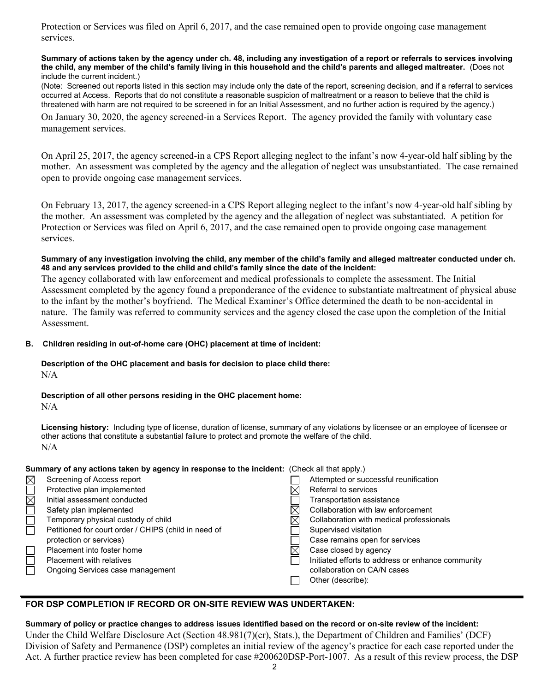Protection or Services was filed on April 6, 2017, and the case remained open to provide ongoing case management services.

#### **Summary of actions taken by the agency under ch. 48, including any investigation of a report or referrals to services involving the child, any member of the child's family living in this household and the child's parents and alleged maltreater.** (Does not include the current incident.)

(Note: Screened out reports listed in this section may include only the date of the report, screening decision, and if a referral to services occurred at Access. Reports that do not constitute a reasonable suspicion of maltreatment or a reason to believe that the child is threatened with harm are not required to be screened in for an Initial Assessment, and no further action is required by the agency.)

On January 30, 2020, the agency screened-in a Services Report. The agency provided the family with voluntary case management services.

On April 25, 2017, the agency screened-in a CPS Report alleging neglect to the infant's now 4-year-old half sibling by the mother. An assessment was completed by the agency and the allegation of neglect was unsubstantiated. The case remained open to provide ongoing case management services.

On February 13, 2017, the agency screened-in a CPS Report alleging neglect to the infant's now 4-year-old half sibling by the mother. An assessment was completed by the agency and the allegation of neglect was substantiated. A petition for Protection or Services was filed on April 6, 2017, and the case remained open to provide ongoing case management services.

### **Summary of any investigation involving the child, any member of the child's family and alleged maltreater conducted under ch. 48 and any services provided to the child and child's family since the date of the incident:**

The agency collaborated with law enforcement and medical professionals to complete the assessment. The Initial Assessment completed by the agency found a preponderance of the evidence to substantiate maltreatment of physical abuse to the infant by the mother's boyfriend. The Medical Examiner's Office determined the death to be non-accidental in nature. The family was referred to community services and the agency closed the case upon the completion of the Initial Assessment.

## **B. Children residing in out-of-home care (OHC) placement at time of incident:**

## **Description of the OHC placement and basis for decision to place child there:**  N/A

### **Description of all other persons residing in the OHC placement home:**   $N/A$

**Licensing history:** Including type of license, duration of license, summary of any violations by licensee or an employee of licensee or other actions that constitute a substantial failure to protect and promote the welfare of the child. N/A

**Summary of any actions taken by agency in response to the incident:** (Check all that apply.)

| $\boxtimes$<br>Screening of Access report            | Attempted or successful reunification             |
|------------------------------------------------------|---------------------------------------------------|
| Protective plan implemented                          | Referral to services                              |
| ⊠<br>Initial assessment conducted                    | Transportation assistance                         |
| Safety plan implemented                              | Collaboration with law enforcement                |
| Temporary physical custody of child<br>$\times$      | Collaboration with medical professionals          |
| Petitioned for court order / CHIPS (child in need of | Supervised visitation                             |
| protection or services)                              | Case remains open for services                    |
| Placement into foster home<br>X                      | Case closed by agency                             |
| <b>Placement with relatives</b>                      | Initiated efforts to address or enhance community |
| Ongoing Services case management                     | collaboration on CA/N cases                       |
|                                                      | Other (describe):                                 |

# **FOR DSP COMPLETION IF RECORD OR ON-SITE REVIEW WAS UNDERTAKEN:**

**Summary of policy or practice changes to address issues identified based on the record or on-site review of the incident:**  Under the Child Welfare Disclosure Act (Section 48.981(7)(cr), Stats.), the Department of Children and Families' (DCF) Division of Safety and Permanence (DSP) completes an initial review of the agency's practice for each case reported under the Act. A further practice review has been completed for case #200620DSP-Port-1007. As a result of this review process, the DSP